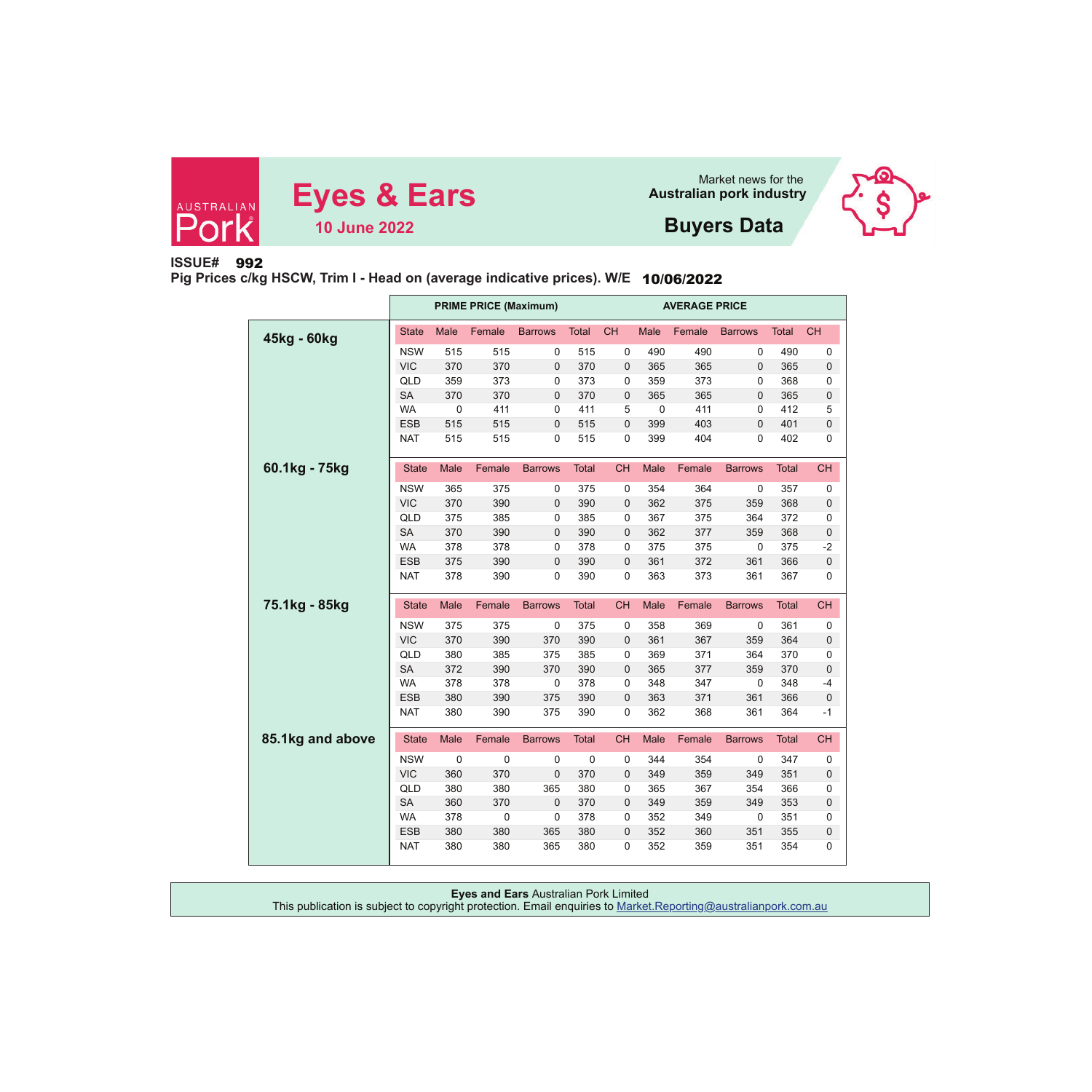





# **Buyers Data**

# **ISSUE#** 992

**Pig Prices c/kg HSCW, Trim I - Head on (average indicative prices). W/E** 10/06/2022

|                  |              |             | <b>PRIME PRICE (Maximum)</b> |                |              | <b>AVERAGE PRICE</b> |             |        |                |              |           |  |  |
|------------------|--------------|-------------|------------------------------|----------------|--------------|----------------------|-------------|--------|----------------|--------------|-----------|--|--|
| 45kg - 60kg      | <b>State</b> | Male        | Female                       | <b>Barrows</b> | Total        | <b>CH</b>            | Male        | Female | <b>Barrows</b> | <b>Total</b> | <b>CH</b> |  |  |
|                  | <b>NSW</b>   | 515         | 515                          | 0              | 515          | 0                    | 490         | 490    | 0              | 490          | 0         |  |  |
|                  | <b>VIC</b>   | 370         | 370                          | 0              | 370          | 0                    | 365         | 365    | $\mathbf 0$    | 365          | 0         |  |  |
|                  | QLD          | 359         | 373                          | 0              | 373          | 0                    | 359         | 373    | $\mathbf 0$    | 368          | 0         |  |  |
|                  | <b>SA</b>    | 370         | 370                          | $\mathbf 0$    | 370          | 0                    | 365         | 365    | $\mathbf 0$    | 365          | 0         |  |  |
|                  | <b>WA</b>    | $\mathbf 0$ | 411                          | $\pmb{0}$      | 411          | 5                    | $\mathbf 0$ | 411    | 0              | 412          | 5         |  |  |
|                  | <b>ESB</b>   | 515         | 515                          | $\pmb{0}$      | 515          | 0                    | 399         | 403    | $\mathbf 0$    | 401          | 0         |  |  |
|                  | <b>NAT</b>   | 515         | 515                          | 0              | 515          | 0                    | 399         | 404    | 0              | 402          | 0         |  |  |
| 60.1kg - 75kg    | <b>State</b> | Male        | Female                       | <b>Barrows</b> | <b>Total</b> | <b>CH</b>            | Male        | Female | <b>Barrows</b> | <b>Total</b> | <b>CH</b> |  |  |
|                  | <b>NSW</b>   | 365         | 375                          | 0              | 375          | 0                    | 354         | 364    | 0              | 357          | 0         |  |  |
|                  | <b>VIC</b>   | 370         | 390                          | $\mathbf{0}$   | 390          | 0                    | 362         | 375    | 359            | 368          | 0         |  |  |
|                  | QLD          | 375         | 385                          | 0              | 385          | 0                    | 367         | 375    | 364            | 372          | 0         |  |  |
|                  | <b>SA</b>    | 370         | 390                          | 0              | 390          | 0                    | 362         | 377    | 359            | 368          | 0         |  |  |
|                  | <b>WA</b>    | 378         | 378                          | 0              | 378          | 0                    | 375         | 375    | 0              | 375          | $-2$      |  |  |
|                  | <b>ESB</b>   | 375         | 390                          | 0              | 390          | 0                    | 361         | 372    | 361            | 366          | $\pmb{0}$ |  |  |
|                  | <b>NAT</b>   | 378         | 390                          | 0              | 390          | 0                    | 363         | 373    | 361            | 367          | 0         |  |  |
|                  |              |             |                              |                |              |                      |             |        |                |              |           |  |  |
| 75.1kg - 85kg    | <b>State</b> | Male        | Female                       | <b>Barrows</b> | <b>Total</b> | <b>CH</b>            | Male        | Female | <b>Barrows</b> | <b>Total</b> | <b>CH</b> |  |  |
|                  | <b>NSW</b>   | 375         | 375                          | 0              | 375          | 0                    | 358         | 369    | $\mathbf 0$    | 361          | 0         |  |  |
|                  | <b>VIC</b>   | 370         | 390                          | 370            | 390          | 0                    | 361         | 367    | 359            | 364          | 0         |  |  |
|                  | QLD          | 380         | 385                          | 375            | 385          | 0                    | 369         | 371    | 364            | 370          | 0         |  |  |
|                  | <b>SA</b>    | 372         | 390                          | 370            | 390          | 0                    | 365         | 377    | 359            | 370          | 0         |  |  |
|                  | <b>WA</b>    | 378         | 378                          | 0              | 378          | 0                    | 348         | 347    | $\mathbf 0$    | 348          | -4        |  |  |
|                  | <b>ESB</b>   | 380         | 390                          | 375            | 390          | 0                    | 363         | 371    | 361            | 366          | $\bf 0$   |  |  |
|                  | <b>NAT</b>   | 380         | 390                          | 375            | 390          | 0                    | 362         | 368    | 361            | 364          | $-1$      |  |  |
| 85.1kg and above | <b>State</b> | Male        | Female                       | <b>Barrows</b> | <b>Total</b> | <b>CH</b>            | Male        | Female | <b>Barrows</b> | <b>Total</b> | <b>CH</b> |  |  |
|                  | <b>NSW</b>   | 0           | 0                            | 0              | 0            | 0                    | 344         | 354    | $\mathbf 0$    | 347          | 0         |  |  |
|                  | <b>VIC</b>   | 360         | 370                          | 0              | 370          | 0                    | 349         | 359    | 349            | 351          | 0         |  |  |
|                  | QLD          | 380         | 380                          | 365            | 380          | 0                    | 365         | 367    | 354            | 366          | 0         |  |  |
|                  | <b>SA</b>    | 360         | 370                          | $\mathbf 0$    | 370          | 0                    | 349         | 359    | 349            | 353          | 0         |  |  |
|                  | <b>WA</b>    | 378         | $\pmb{0}$                    | $\mathbf 0$    | 378          | 0                    | 352         | 349    | $\pmb{0}$      | 351          | 0         |  |  |
|                  | <b>ESB</b>   | 380         | 380                          | 365            | 380          | 0                    | 352         | 360    | 351            | 355          | 0         |  |  |
|                  | <b>NAT</b>   | 380         | 380                          | 365            | 380          | 0                    | 352         | 359    | 351            | 354          | 0         |  |  |

| <b>Eyes and Ears Australian Pork Limited</b>                                                                   |
|----------------------------------------------------------------------------------------------------------------|
| This publication is subject to copyright protection. Email enquiries to Market.Reporting@australianpork.com.au |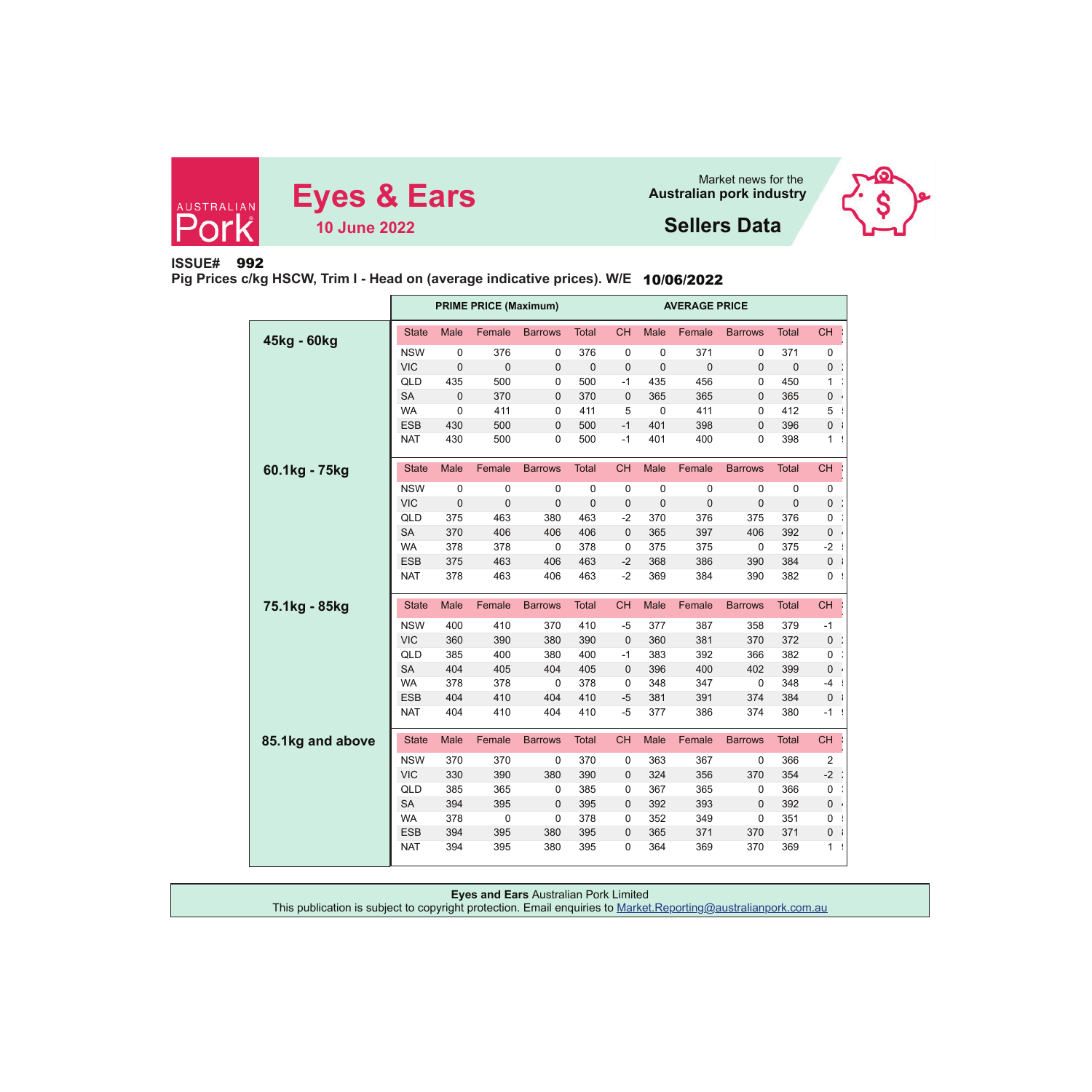





# **ISSUE#** 992

**Pig Prices c/kg HSCW, Trim I - Head on (average indicative prices). W/E** 10/06/2022

|                  |              |                | <b>PRIME PRICE (Maximum)</b> |                |              | <b>AVERAGE PRICE</b><br><b>CH</b><br>Female<br><b>CH</b><br><b>Male</b><br><b>Barrows</b><br><b>Total</b><br>371<br>$\mathbf 0$<br>0<br>0<br>371<br>0<br>$\mathbf 0$<br>$\mathbf 0$<br>$\mathbf 0$<br>$\mathbf 0$<br>0<br>0<br>435<br>456<br>450<br>$-1$<br>0<br>1<br>365<br>$\mathbf 0$<br>$\mathbf 0$<br>365<br>365<br>0<br>411<br>412<br>5<br>0<br>0<br>5 |             |             |                |              |                |  |
|------------------|--------------|----------------|------------------------------|----------------|--------------|--------------------------------------------------------------------------------------------------------------------------------------------------------------------------------------------------------------------------------------------------------------------------------------------------------------------------------------------------------------|-------------|-------------|----------------|--------------|----------------|--|
| 45kg - 60kg      | <b>State</b> | Male           | Female                       | <b>Barrows</b> | <b>Total</b> |                                                                                                                                                                                                                                                                                                                                                              |             |             |                |              |                |  |
|                  | <b>NSW</b>   | 0              | 376                          | 0              | 376          |                                                                                                                                                                                                                                                                                                                                                              |             |             |                |              |                |  |
|                  | <b>VIC</b>   | 0              | $\bf 0$                      | $\mathbf 0$    | $\mathbf 0$  |                                                                                                                                                                                                                                                                                                                                                              |             |             |                |              |                |  |
|                  | QLD          | 435            | 500                          | 0              | 500          |                                                                                                                                                                                                                                                                                                                                                              |             |             |                |              |                |  |
|                  | <b>SA</b>    | 0              | 370                          | 0              | 370          |                                                                                                                                                                                                                                                                                                                                                              |             |             |                |              |                |  |
|                  | <b>WA</b>    | 0              | 411                          | 0              | 411          |                                                                                                                                                                                                                                                                                                                                                              |             |             |                |              |                |  |
|                  | <b>ESB</b>   | 430            | 500                          | 0              | 500          | $-1$                                                                                                                                                                                                                                                                                                                                                         | 401         | 398         | $\overline{0}$ | 396          | 0              |  |
|                  | <b>NAT</b>   | 430            | 500                          | 0              | 500          | $-1$                                                                                                                                                                                                                                                                                                                                                         | 401         | 400         | 0              | 398          | $\mathbf{1}$   |  |
| 60.1kg - 75kg    | <b>State</b> | Male           | Female                       | <b>Barrows</b> | <b>Total</b> | <b>CH</b>                                                                                                                                                                                                                                                                                                                                                    | Male        | Female      | <b>Barrows</b> | <b>Total</b> | <b>CH</b>      |  |
|                  | <b>NSW</b>   | 0              | 0                            | 0              | $\mathbf 0$  | 0                                                                                                                                                                                                                                                                                                                                                            | 0           | 0           | 0              | 0            | 0              |  |
|                  | <b>VIC</b>   | $\overline{0}$ | 0                            | $\mathbf 0$    | $\mathbf 0$  | 0                                                                                                                                                                                                                                                                                                                                                            | $\mathbf 0$ | $\mathbf 0$ | $\overline{0}$ | $\mathbf 0$  | 0              |  |
|                  | QLD          | 375            | 463                          | 380            | 463          | $-2$                                                                                                                                                                                                                                                                                                                                                         | 370         | 376         | 375            | 376          | 0              |  |
|                  | <b>SA</b>    | 370            | 406                          | 406            | 406          | 0                                                                                                                                                                                                                                                                                                                                                            | 365         | 397         | 406            | 392          | 0              |  |
|                  | <b>WA</b>    | 378            | 378                          | 0              | 378          | 0                                                                                                                                                                                                                                                                                                                                                            | 375         | 375         | 0              | 375          | $-2$           |  |
|                  | <b>ESB</b>   | 375            | 463                          | 406            | 463          | $-2$                                                                                                                                                                                                                                                                                                                                                         | 368         | 386         | 390            | 384          | 0              |  |
|                  | <b>NAT</b>   | 378            | 463                          | 406            | 463          | $-2$                                                                                                                                                                                                                                                                                                                                                         | 369         | 384         | 390            | 382          | $\pmb{0}$      |  |
| 75.1kg - 85kg    | <b>State</b> | Male           | Female                       | <b>Barrows</b> | <b>Total</b> | <b>CH</b>                                                                                                                                                                                                                                                                                                                                                    | Male        | Female      | <b>Barrows</b> | <b>Total</b> | <b>CH</b>      |  |
|                  | <b>NSW</b>   | 400            | 410                          | 370            | 410          | $-5$                                                                                                                                                                                                                                                                                                                                                         | 377         | 387         | 358            | 379          | $-1$           |  |
|                  | <b>VIC</b>   | 360            | 390                          | 380            | 390          | $\mathbf 0$                                                                                                                                                                                                                                                                                                                                                  | 360         | 381         | 370            | 372          | $\pmb{0}$      |  |
|                  | QLD          | 385            | 400                          | 380            | 400          | $-1$                                                                                                                                                                                                                                                                                                                                                         | 383         | 392         | 366            | 382          | 0              |  |
|                  | <b>SA</b>    | 404            | 405                          | 404            | 405          | $\mathbf{0}$                                                                                                                                                                                                                                                                                                                                                 | 396         | 400         | 402            | 399          | 0              |  |
|                  | <b>WA</b>    | 378            | 378                          | $\mathbf 0$    | 378          | 0                                                                                                                                                                                                                                                                                                                                                            | 348         | 347         | 0              | 348          | $-4$           |  |
|                  | <b>ESB</b>   | 404            | 410                          | 404            | 410          | $-5$                                                                                                                                                                                                                                                                                                                                                         | 381         | 391         | 374            | 384          | 0              |  |
|                  | <b>NAT</b>   | 404            | 410                          | 404            | 410          | $-5$                                                                                                                                                                                                                                                                                                                                                         | 377         | 386         | 374            | 380          | $-1$           |  |
| 85.1kg and above | <b>State</b> | Male           | Female                       | <b>Barrows</b> | <b>Total</b> | <b>CH</b>                                                                                                                                                                                                                                                                                                                                                    | Male        | Female      | <b>Barrows</b> | <b>Total</b> | <b>CH</b>      |  |
|                  | <b>NSW</b>   | 370            | 370                          | 0              | 370          | 0                                                                                                                                                                                                                                                                                                                                                            | 363         | 367         | 0              | 366          | $\overline{2}$ |  |
|                  | <b>VIC</b>   | 330            | 390                          | 380            | 390          | 0                                                                                                                                                                                                                                                                                                                                                            | 324         | 356         | 370            | 354          | $-2$           |  |
|                  | QLD          | 385            | 365                          | 0              | 385          | 0                                                                                                                                                                                                                                                                                                                                                            | 367         | 365         | 0              | 366          | 0              |  |
|                  | <b>SA</b>    | 394            | 395                          | 0              | 395          | 0                                                                                                                                                                                                                                                                                                                                                            | 392         | 393         | $\mathbf 0$    | 392          | 0              |  |
|                  | <b>WA</b>    | 378            | 0                            | 0              | 378          | 0                                                                                                                                                                                                                                                                                                                                                            | 352         | 349         | 0              | 351          | 0              |  |
|                  | <b>ESB</b>   | 394            | 395                          | 380            | 395          | 0                                                                                                                                                                                                                                                                                                                                                            | 365         | 371         | 370            | 371          | 0              |  |
|                  | <b>NAT</b>   | 394            | 395                          | 380            | 395          | 0                                                                                                                                                                                                                                                                                                                                                            | 364         | 369         | 370            | 369          | 1 <sup>1</sup> |  |

| <b>Eyes and Ears Australian Pork Limited</b>                                                                   |  |
|----------------------------------------------------------------------------------------------------------------|--|
|                                                                                                                |  |
| This publication is subject to copyright protection. Email enquiries to Market.Reporting@australianpork.com.au |  |
|                                                                                                                |  |
|                                                                                                                |  |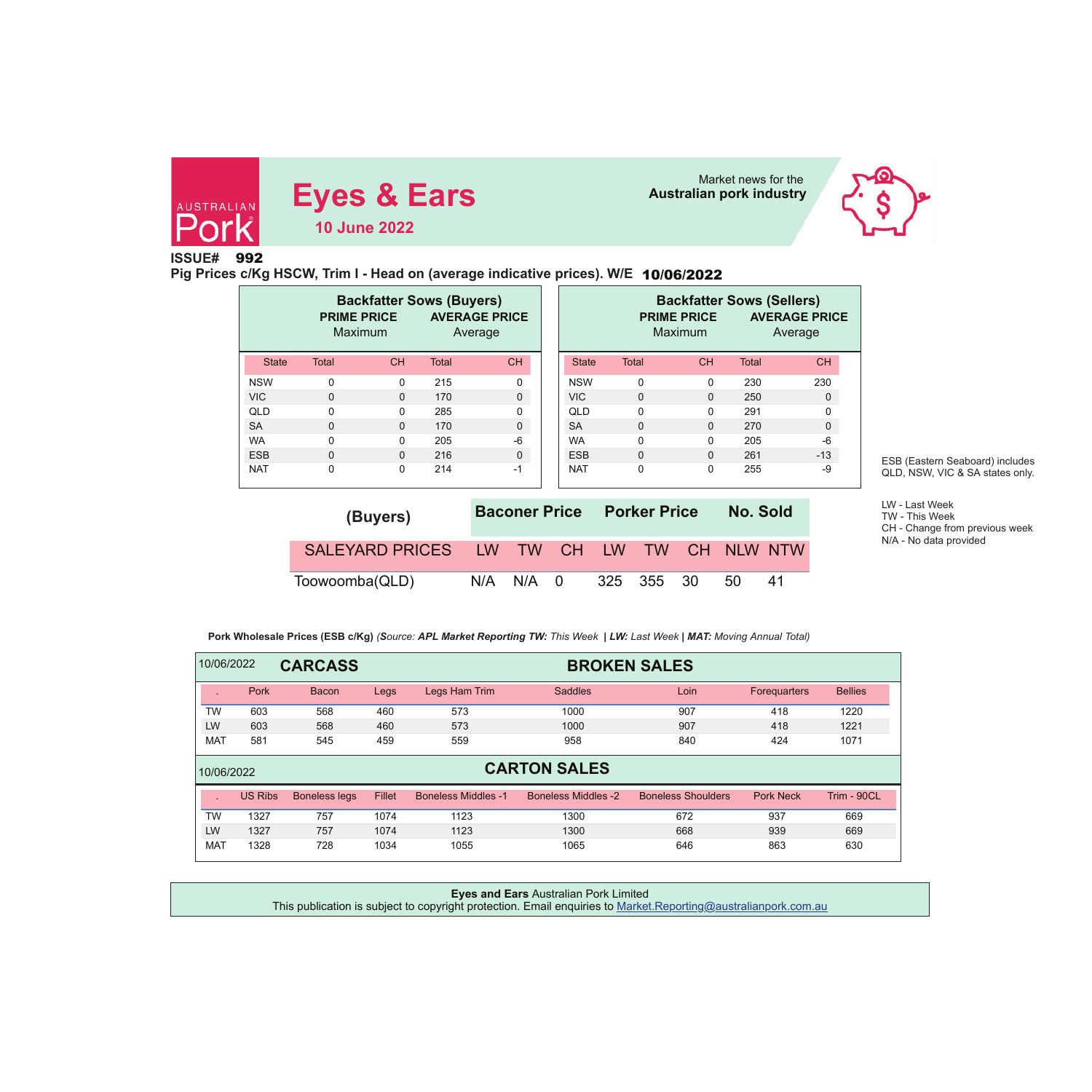

# **Eyes & Ears** Market news for the Market news for the **Australian pork industry 10 June 2022**



# **ISSUE#**992

**Pig Prices c/Kg HSCW, Trim I - Head on (average indicative prices). W/E** 10/06/2022

|              | <b>PRIME PRICE</b><br>Maximum | <b>Backfatter Sows (Buyers)</b> | Average      | <b>AVERAGE PRICE</b> |              |              | <b>Backfatter Sows (Sellers)</b><br><b>PRIME PRICE</b><br><b>Maximum</b> |              | <b>AVERAGE PRICE</b><br>Average |
|--------------|-------------------------------|---------------------------------|--------------|----------------------|--------------|--------------|--------------------------------------------------------------------------|--------------|---------------------------------|
| <b>State</b> | <b>Total</b>                  | <b>CH</b>                       | <b>Total</b> | <b>CH</b>            | <b>State</b> | <b>Total</b> | <b>CH</b>                                                                | <b>Total</b> |                                 |
| <b>NSW</b>   | $\Omega$                      | $\Omega$                        | 215          | 0                    | <b>NSW</b>   | $\Omega$     | $\Omega$                                                                 | 230          |                                 |
| <b>VIC</b>   | $\mathbf 0$                   | $\Omega$                        | 170          | $\Omega$             | <b>VIC</b>   | $\Omega$     | $\Omega$                                                                 | 250          |                                 |
| QLD          | $\Omega$                      | $\Omega$                        | 285          | 0                    | <b>QLD</b>   | $\Omega$     | $\Omega$                                                                 | 291          |                                 |
| <b>SA</b>    | $\Omega$                      | $\Omega$                        | 170          | $\Omega$             | <b>SA</b>    | $\Omega$     | $\Omega$                                                                 | 270          |                                 |
| <b>WA</b>    | $\Omega$                      | $\Omega$                        | 205          | $-6$                 | <b>WA</b>    | $\Omega$     | $\Omega$                                                                 | 205          |                                 |
| <b>ESB</b>   | $\Omega$                      | $\Omega$                        | 216          | $\Omega$             | <b>ESB</b>   | $\Omega$     | 0                                                                        | 261          |                                 |
| <b>NAT</b>   | 0                             | $\Omega$                        | 214          | $-1$                 | <b>NAT</b>   | $\Omega$     | $\Omega$                                                                 | 255          |                                 |

ESB (Eastern Seaboard) includes QLD, NSW, VIC & SA states only.

LW - Last Week TW - This WeekCH - Change from previous week N/A - No data provided

| (Buyers)                                  |               |  | <b>Baconer Price Porker Price</b> | No. Sold |     |
|-------------------------------------------|---------------|--|-----------------------------------|----------|-----|
| SALEYARD PRICES LW TW CH LW TW CH NLW NTW |               |  |                                   |          |     |
| Toowoomba(QLD)                            | $N/A$ $N/A$ 0 |  | 325 355 30                        | -50      | -41 |

 **Pork Wholesale Prices (ESB c/Kg)** *(Source: APL Market Reporting TW: This Week | LW: Last Week | MAT: Moving Annual Total)*

| 10/06/2022 |                | <b>CARCASS</b>       |        |                            | <b>BROKEN SALES</b>        |                           |                  |                |  |  |  |  |
|------------|----------------|----------------------|--------|----------------------------|----------------------------|---------------------------|------------------|----------------|--|--|--|--|
|            | Pork           | <b>Bacon</b>         | Legs   | Legs Ham Trim              | <b>Saddles</b>             | Loin                      | Foreguarters     | <b>Bellies</b> |  |  |  |  |
| <b>TW</b>  | 603            | 568                  | 460    | 573                        | 1000                       | 907                       | 418              | 1220           |  |  |  |  |
| LW         | 603            | 568                  | 460    | 573                        | 1000                       | 907                       | 418              | 1221           |  |  |  |  |
| <b>MAT</b> | 581            | 545                  | 459    | 559                        | 958                        | 840                       | 424              | 1071           |  |  |  |  |
| 10/06/2022 |                |                      |        |                            | <b>CARTON SALES</b>        |                           |                  |                |  |  |  |  |
|            | <b>US Ribs</b> | <b>Boneless legs</b> | Fillet | <b>Boneless Middles -1</b> | <b>Boneless Middles -2</b> | <b>Boneless Shoulders</b> | <b>Pork Neck</b> | Trim - 90CL    |  |  |  |  |
| <b>TW</b>  | 1327           | 757                  | 1074   | 1123                       | 1300                       | 672                       | 937              | 669            |  |  |  |  |
| LW         | 1327           | 757                  | 1074   | 1123                       | 1300                       | 668                       | 939              | 669            |  |  |  |  |
| <b>MAT</b> | 1328           | 728                  | 1034   | 1055                       | 1065                       | 646                       | 863              | 630            |  |  |  |  |

## **Eyes and Ears** Australian Pork Limited This publication is subject to copyright protection. Email enquiries to Market.Reporting@australianpork.com.au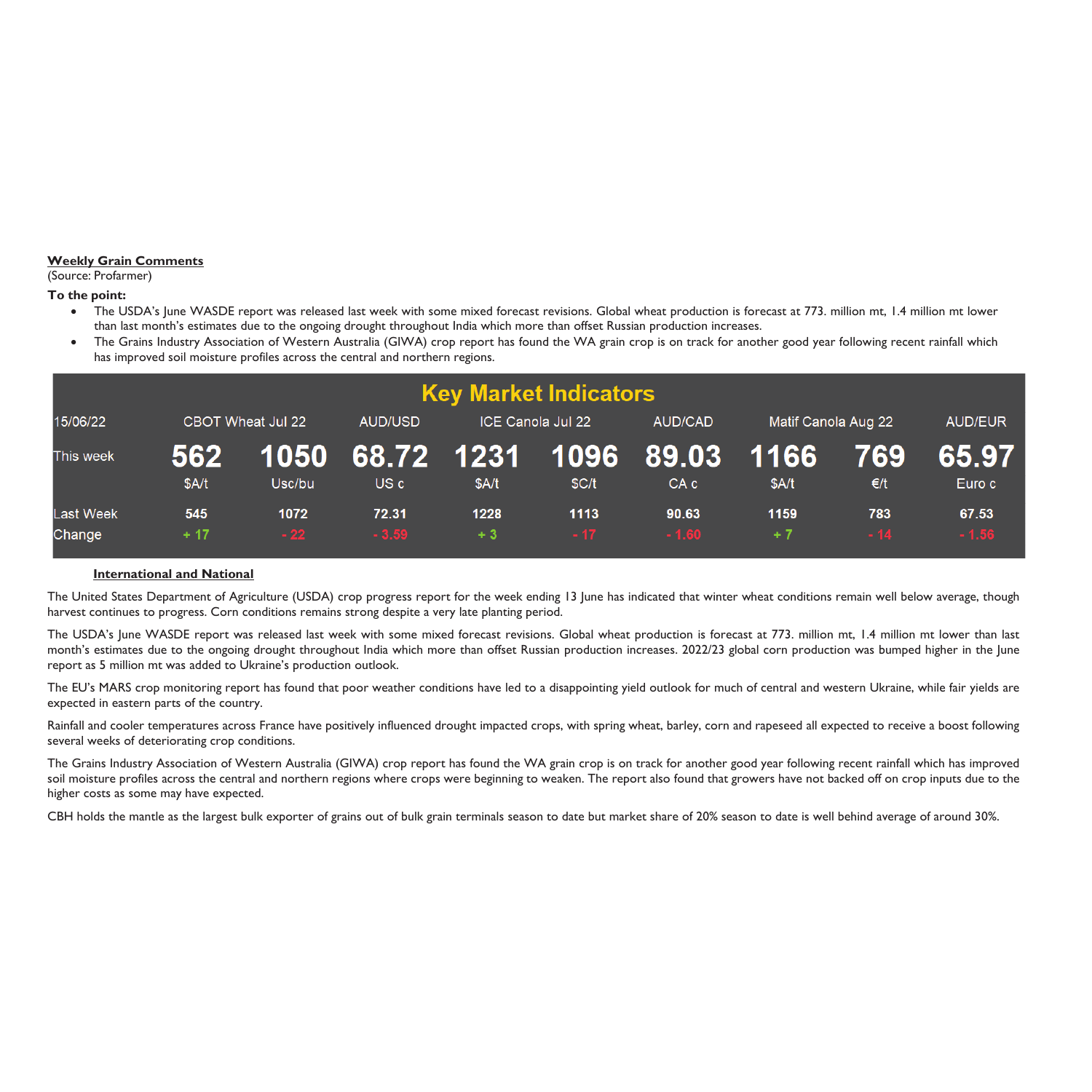# **Weekly Grain Comments**

(Source: Profarmer)

**To the point:** 

- $\bullet$  The USDA's June WASDE report was released last week with some mixed forecast revisions. Global wheat production is forecast at 773. million mt, 1.4 million mt lower than last month's estimates due to the ongoing drought throughout India which more than offset Russian production increases.
- 0 The Grains Industry Association of Western Australia (GIWA) crop report has found the WA grain crop is on track for another good year following recent rainfall which has improved soil moisture profiles across the central and northern regions.

|                            |              |                          |                              |              | <b>Key Market Indicators</b> |                                       |               |              |                  |
|----------------------------|--------------|--------------------------|------------------------------|--------------|------------------------------|---------------------------------------|---------------|--------------|------------------|
| 15/06/22                   |              | CBOT Wheat Jul 22        | AUD/USD<br>ICE Canola Jul 22 |              |                              | <b>AUD/CAD</b><br>Matif Canola Aug 22 |               |              | <b>AUD/EUR</b>   |
| This week                  | 562<br>\$A/t | <b>YI050 N</b><br>Usc/bu | 68.72 1231 1096<br>US c      | \$A/t        | SC/t                         | 89.03<br>CA <sub>c</sub>              | 1166<br>\$A/t | 769<br>€/t   | 65.97<br>Euro c  |
| <b>Last Week</b><br>Change | 545<br>$+17$ | 1072<br>$-22$            | 72.31<br>$-3.59$             | 1228<br>$+3$ | 1113<br>$-17$                | 90.63<br>$-1.60$                      | 1159<br>$+7$  | 783<br>$-14$ | 67.53<br>$-1.56$ |

# **International and National**

The United States Department of Agriculture (USDA) crop progress report for the week ending 13 June has indicated that winter wheat conditions remain well below average, though harvest continues to progress. Corn conditions remains strong despite a very late planting period.

The USDA's June WASDE report was released last week with some mixed forecast revisions. Global wheat production is forecast at 773. million mt, 1.4 million mt lower than last month's estimates due to the ongoing drought throughout India which more than offset Russian production increases. 2022/23 global corn production was bumped higher in the June report as 5 million mt was added to Ukraine's production outlook.

The EU's MARS crop monitoring report has found that poor weather conditions have led to a disappointing yield outlook for much of central and western Ukraine, while fair yields are expected in eastern parts of the country.

Rainfall and cooler temperatures across France have positively influenced drought impacted crops, with spring wheat, barley, corn and rapeseed all expected to receive a boost following several weeks of deteriorating crop conditions.

The Grains Industry Association of Western Australia (GIWA) crop report has found the WA grain crop is on track for another good year following recent rainfall which has improved soil moisture profiles across the central and northern regions where crops were beginning to weaken. The report also found that growers have not backed off on crop inputs due to the higher costs as some may have expected.

CBH holds the mantle as the largest bulk exporter of grains out of bulk grain terminals season to date but market share of 20% season to date is well behind average of around 30%.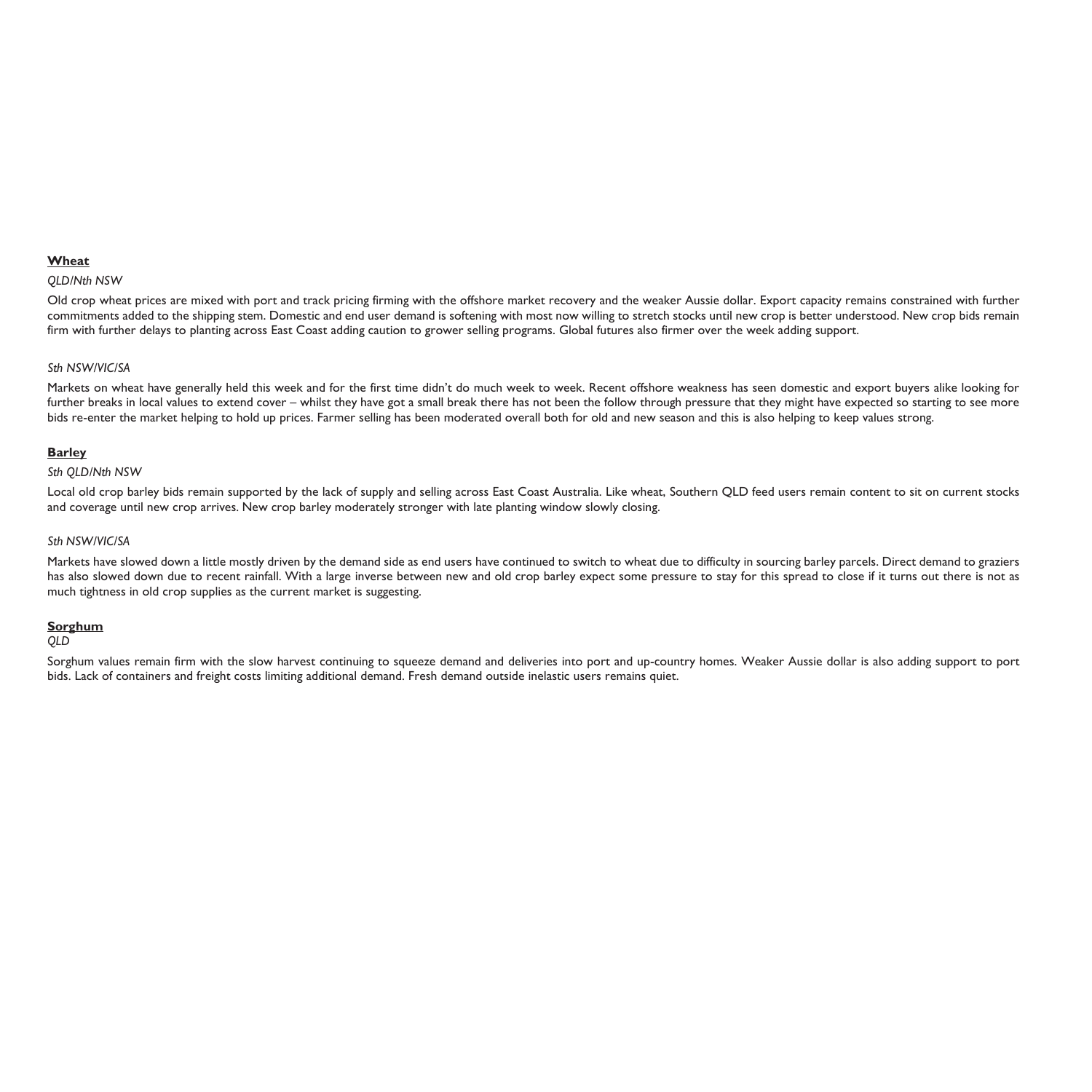# **Wheat**

#### *QLD/Nth NSW*

Old crop wheat prices are mixed with port and track pricing firming with the offshore market recovery and the weaker Aussie dollar. Export capacity remains constrained with further commitments added to the shipping stem. Domestic and end user demand is softening with most now willing to stretch stocks until new crop is better understood. New crop bids remain firm with further delays to planting across East Coast adding caution to grower selling programs. Global futures also firmer over the week adding support.

## *Sth NSW/VIC/SA*

Markets on wheat have generally held this week and for the first time didn't do much week to week. Recent offshore weakness has seen domestic and export buyers alike looking for further breaks in local values to extend cover – whilst they have got a small break there has not been the follow through pressure that they might have expected so starting to see more bids re-enter the market helping to hold up prices. Farmer selling has been moderated overall both for old and new season and this is also helping to keep values strong.

## **Barley**

#### *Sth QLD/Nth NSW*

Local old crop barley bids remain supported by the lack of supply and selling across East Coast Australia. Like wheat, Southern QLD feed users remain content to sit on current stocks and coverage until new crop arrives. New crop barley moderately stronger with late planting window slowly closing.

#### *Sth NSW/VIC/SA*

Markets have slowed down a little mostly driven by the demand side as end users have continued to switch to wheat due to difficulty in sourcing barley parcels. Direct demand to graziers has also slowed down due to recent rainfall. With a large inverse between new and old crop barley expect some pressure to stay for this spread to close if it turns out there is not as much tightness in old crop supplies as the current market is suggesting.

## **Sorghum**

#### *QLD*

Sorghum values remain firm with the slow harvest continuing to squeeze demand and deliveries into port and up-country homes. Weaker Aussie dollar is also adding support to port bids. Lack of containers and freight costs limiting additional demand. Fresh demand outside inelastic users remains quiet.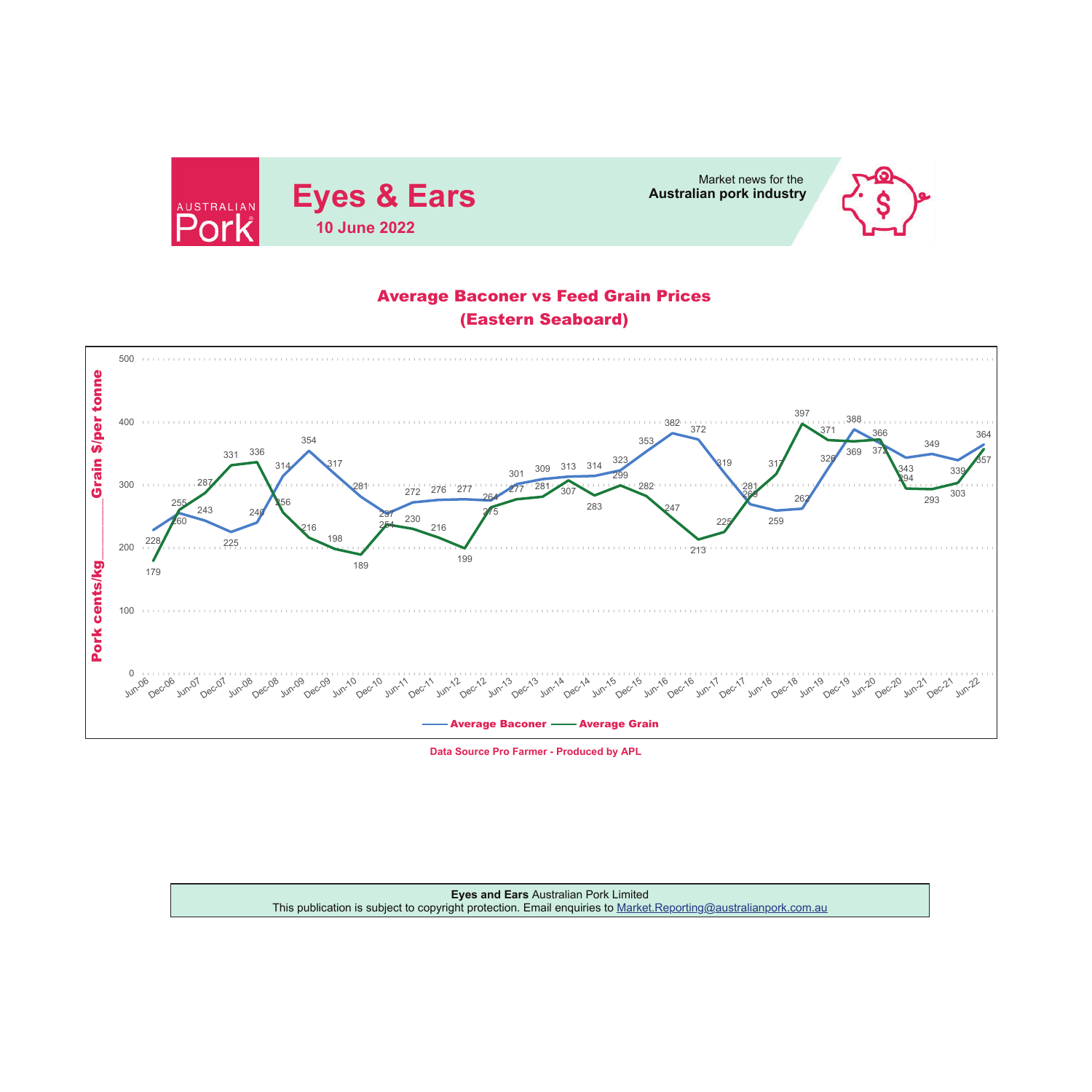



# Average Baconer vs Feed Grain Prices (Eastern Seaboard)



**Data Source Pro Farmer - Produced by APL**

**Eyes and Ears** Australian Pork Limited This publication is subject to copyright protection. Email enquiries to <u>Market.Reporting@australianpork.com.au</u>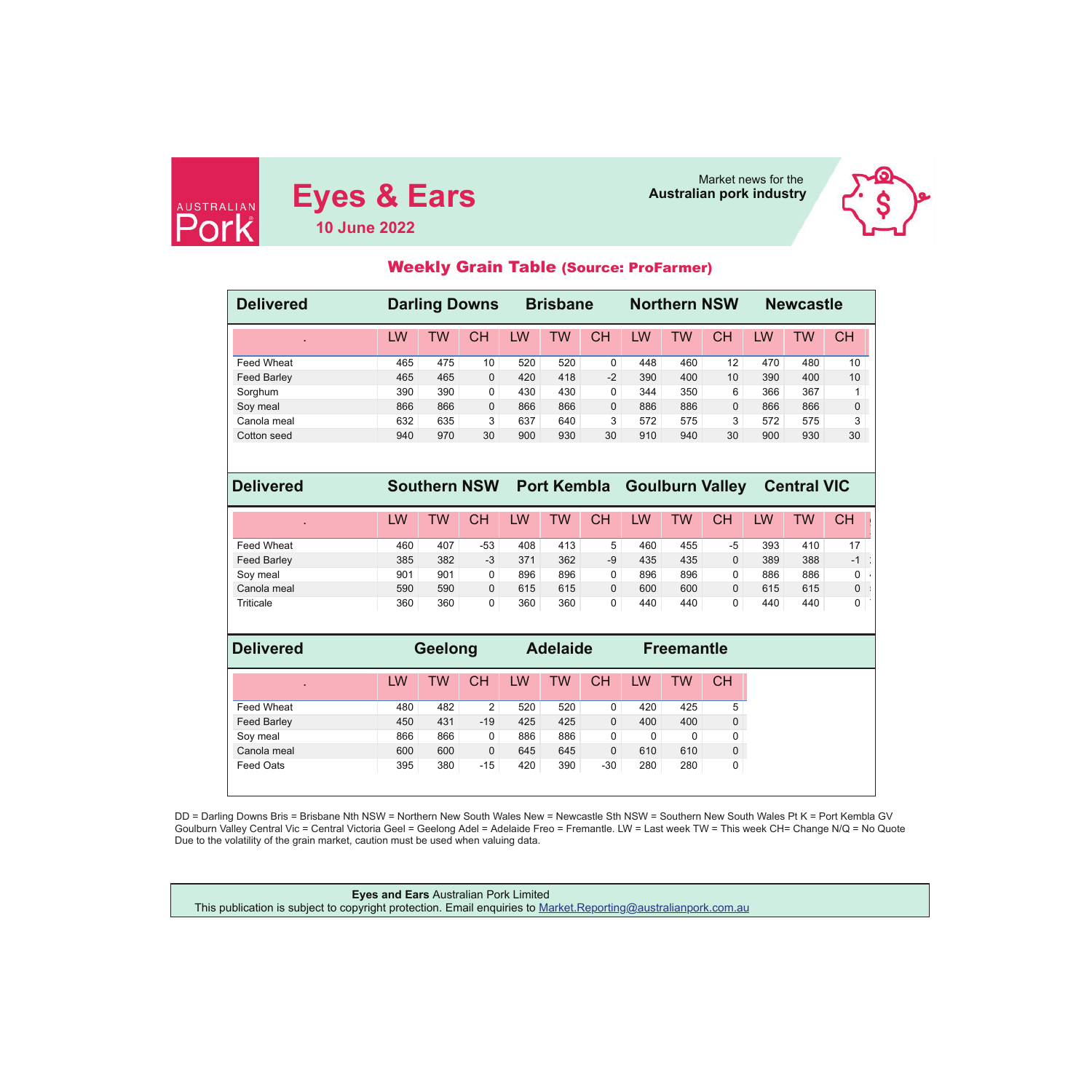

**Eyes & Ears** Market news for the Market news for the **Eyes & Ears 10 June 2022**



# Weekly Grain Table (Source: ProFarmer)

| <b>Delivered</b>   |     |           | <b>Darling Downs</b> |     | <b>Brisbane</b>    |              |     | <b>Northern NSW</b> |                        |     | <b>Newcastle</b>   |              |
|--------------------|-----|-----------|----------------------|-----|--------------------|--------------|-----|---------------------|------------------------|-----|--------------------|--------------|
|                    | LW  | <b>TW</b> | <b>CH</b>            | LW  | <b>TW</b>          | <b>CH</b>    | LW  | <b>TW</b>           | <b>CH</b>              | LW  | <b>TW</b>          | <b>CH</b>    |
| Feed Wheat         | 465 | 475       | 10                   | 520 | 520                | $\pmb{0}$    | 448 | 460                 | 12                     | 470 | 480                | 10           |
| <b>Feed Barley</b> | 465 | 465       | $\mathbf{0}$         | 420 | 418                | $-2$         | 390 | 400                 | 10                     | 390 | 400                | 10           |
| Sorghum            | 390 | 390       | $\mathbf 0$          | 430 | 430                | 0            | 344 | 350                 | 6                      | 366 | 367                | 1            |
| Soy meal           | 866 | 866       | $\mathbf{0}$         | 866 | 866                | $\mathbf{0}$ | 886 | 886                 | $\mathbf{0}$           | 866 | 866                | $\mathbf{0}$ |
| Canola meal        | 632 | 635       | 3                    | 637 | 640                | 3            | 572 | 575                 | 3                      | 572 | 575                | 3            |
| Cotton seed        | 940 | 970       | 30                   | 900 | 930                | 30           | 910 | 940                 | 30                     | 900 | 930                | 30           |
| <b>Delivered</b>   |     |           | <b>Southern NSW</b>  |     |                    |              |     |                     | <b>Goulburn Valley</b> |     | <b>Central VIC</b> |              |
|                    |     |           |                      |     | <b>Port Kembla</b> |              |     |                     |                        |     |                    |              |
|                    | LW  | <b>TW</b> | <b>CH</b>            | LW  | <b>TW</b>          | <b>CH</b>    | LW  | <b>TW</b>           | <b>CH</b>              | LW  | <b>TW</b>          | <b>CH</b>    |
| <b>Feed Wheat</b>  | 460 | 407       | $-53$                | 408 | 413                | 5            | 460 | 455                 | $-5$                   | 393 | 410                | 17           |
| <b>Feed Barley</b> | 385 | 382       | $-3$                 | 371 | 362                | $-9$         | 435 | 435                 | $\mathbf{0}$           | 389 | 388                | $-1$         |
| Soy meal           | 901 | 901       | $\mathbf 0$          | 896 | 896                | 0            | 896 | 896                 | 0                      | 886 | 886                | 0            |
| Canola meal        | 590 | 590       | $\mathbf{0}$         | 615 | 615                | $\mathbf{0}$ | 600 | 600                 | $\mathbf{0}$           | 615 | 615                | 0            |
| Triticale          | 360 | 360       | 0                    | 360 | 360                | 0            | 440 | 440                 | 0                      | 440 | 440                | 0            |
| <b>Delivered</b>   |     | Geelong   |                      |     | <b>Adelaide</b>    |              |     | <b>Freemantle</b>   |                        |     |                    |              |
|                    | LW  | <b>TW</b> | <b>CH</b>            | LW  | <b>TW</b>          | <b>CH</b>    | LW  | <b>TW</b>           | <b>CH</b>              |     |                    |              |
|                    |     |           |                      |     |                    |              |     |                     |                        |     |                    |              |
| Feed Wheat         | 480 | 482       | $\overline{2}$       | 520 | 520                | 0            | 420 | 425                 | 5                      |     |                    |              |
| <b>Feed Barley</b> | 450 | 431       | $-19$                | 425 | 425                | $\mathbf{0}$ | 400 | 400                 | 0                      |     |                    |              |
| Soy meal           | 866 | 866       | $\mathbf 0$          | 886 | 886                | 0            | 0   | $\mathbf 0$         | 0                      |     |                    |              |
| Canola meal        | 600 | 600       | $\mathbf{0}$         | 645 | 645                | $\mathbf 0$  | 610 | 610                 | 0                      |     |                    |              |
| <b>Feed Oats</b>   | 395 | 380       | $-15$                | 420 | 390                | $-30$        | 280 | 280                 | 0                      |     |                    |              |

DD = Darling Downs Bris = Brisbane Nth NSW = Northern New South Wales New = Newcastle Sth NSW = Southern New South Wales Pt K = Port Kembla GV<br>Goulburn Valley Central Vic = Central Victoria Geel = Geelong Adel = Adelaide Due to the volatility of the grain market, caution must be used when valuing data.

**Eyes and Ears** Australian Pork Limited This publication is subject to copyright protection. Email enquiries to Market.Reporting@australianpork.com.au